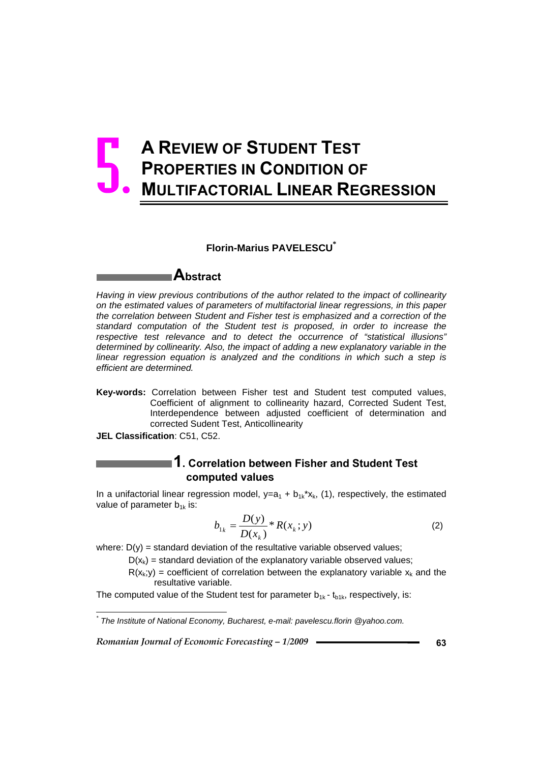# **A REVIEW OF STUDENT TEST PROPERTIES IN CONDITION OF MULTIFACTORIAL LINEAR REGRESSION** 5.

#### **Florin-Marius PAVELESCU\***

# **Abstract**

*Having in view previous contributions of the author related to the impact of collinearity on the estimated values of parameters of multifactorial linear regressions, in this paper the correlation between Student and Fisher test is emphasized and a correction of the standard computation of the Student test is proposed, in order to increase the respective test relevance and to detect the occurrence of "statistical illusions" determined by collinearity. Also, the impact of adding a new explanatory variable in the linear regression equation is analyzed and the conditions in which such a step is efficient are determined.* 

- **Key-words:** Correlation between Fisher test and Student test computed values, Coefficient of alignment to collinearity hazard, Corrected Sudent Test, Interdependence between adjusted coefficient of determination and corrected Sudent Test, Anticollinearity
- **JEL Classification**: C51, C52.

## **1. Correlation between Fisher and Student Test computed values**

In a unifactorial linear regression model,  $y=a_1 + b_{1k}x_{k}$ , (1), respectively, the estimated value of parameter  $b_{1k}$  is:

$$
b_{1k} = \frac{D(y)}{D(x_k)} * R(x_k; y)
$$
 (2)

where:  $D(y)$  = standard deviation of the resultative variable observed values;

 $D(x<sub>k</sub>)$  = standard deviation of the explanatory variable observed values;

 $R(x_k; y)$  = coefficient of correlation between the explanatory variable  $x_k$  and the resultative variable.

The computed value of the Student test for parameter  $b_{1k}$  -  $t_{b1k}$ , respectively, is:

 *\* The Institute of National Economy, Bucharest, e-mail: pavelescu.florin @yahoo.com.*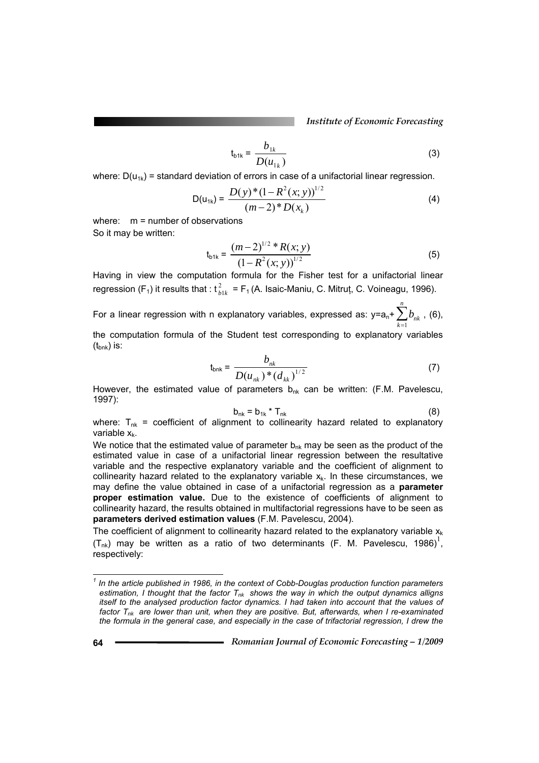*Institute of Economic Forecasting*

$$
t_{b1k} = \frac{b_{1k}}{D(u_{1k})}
$$
 (3)

where:  $D(u_{1k})$  = standard deviation of errors in case of a unifactorial linear regression.

$$
D(u_{1k}) = \frac{D(y)^{*}(1 - R^{2}(x; y))^{1/2}}{(m-2)^{*}D(x_{k})}
$$
\n(4)

where: m = number of observations So it may be written:

$$
t_{b1k} = \frac{(m-2)^{1/2} * R(x; y)}{(1 - R^2(x; y))^{1/2}}
$$
 (5)

Having in view the computation formula for the Fisher test for a unifactorial linear regression (F<sub>1</sub>) it results that :  $t_{blk}^2 = F_1(A.$  Isaic-Maniu, C. Mitruț, C. Voineagu, 1996).

For a linear regression with n explanatory variables, expressed as: y=a<sub>n</sub>+ $\sum b_{_{nk}}$ *k*  $\sum^n b_{nk}$  , (6), = 1

the computation formula of the Student test corresponding to explanatory variables  $(t_{bnk})$  is:

$$
t_{\text{bnk}} = \frac{b_{nk}}{D(u_{nk})^*(d_{kk})^{1/2}}
$$
 (7)

However, the estimated value of parameters  $b_{nk}$  can be written: (F.M. Pavelescu, 1997):

$$
b_{nk} = b_{1k} * T_{nk}
$$
 (8)

where:  $T_{nk}$  = coefficient of alignment to collinearity hazard related to explanatory variable  $x_k$ .

We notice that the estimated value of parameter  $b_{nk}$  may be seen as the product of the estimated value in case of a unifactorial linear regression between the resultative variable and the respective explanatory variable and the coefficient of alignment to collinearity hazard related to the explanatory variable  $x<sub>k</sub>$ . In these circumstances, we may define the value obtained in case of a unifactorial regression as a **parameter proper estimation value.** Due to the existence of coefficients of alignment to collinearity hazard, the results obtained in multifactorial regressions have to be seen as **parameters derived estimation values** (F.M. Pavelescu, 2004).

The coefficient of alignment to collinearity hazard related to the explanatory variable  $x<sub>k</sub>$  $(T_{nk})$  may be written as a ratio of two determinants (F. M. Pavelescu, 1986)<sup>1</sup>, respectively:

 *1 In the article published in 1986, in the context of Cobb-Douglas production function parameters*  estimation, I thought that the factor T<sub>nk</sub> shows the way in which the output dynamics alligns *itself to the analysed production factor dynamics. I had taken into account that the values of*  factor T<sub>nk</sub> are lower than unit, when they are positive. But, afterwards, when I re-examinated *the formula in the general case, and especially in the case of trifactorial regression, I drew the*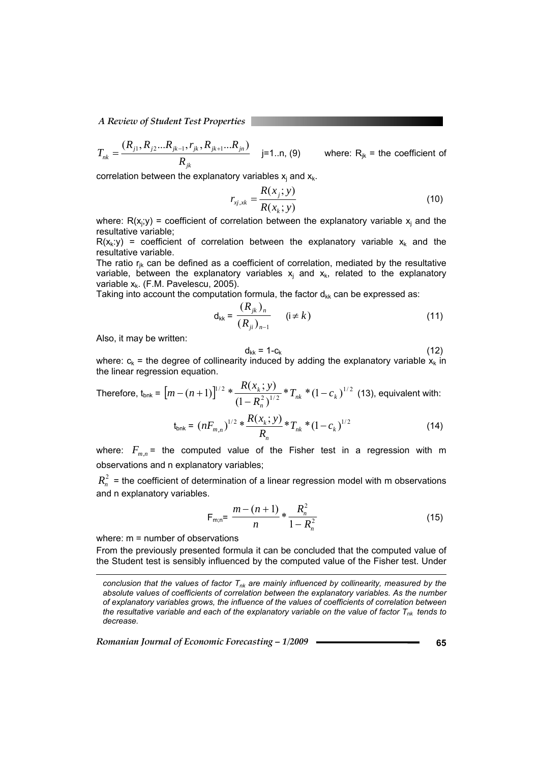*A Review of Student Test Properties* 

$$
T_{nk} = \frac{(R_{j1}, R_{j2}...R_{jk-1}, r_{jk}, R_{jk+1}...R_{jn})}{R_{jk}}
$$
 j=1..n, (9) where: R<sub>jk</sub> = the coefficient of

correlation between the explanatory variables  $x_j$  and  $x_k$ .

$$
r_{xj, xk} = \frac{R(x_j; y)}{R(x_k; y)}
$$
 (10)

where:  $R(x_j, y)$  = coefficient of correlation between the explanatory variable  $x_j$  and the resultative variable;

 $R(x_k: y)$  = coefficient of correlation between the explanatory variable  $x_k$  and the resultative variable.

The ratio  $r_{ik}$  can be defined as a coefficient of correlation, mediated by the resultative variable, between the explanatory variables  $x_j$  and  $x_k$ , related to the explanatory variable  $x_k$ . (F.M. Pavelescu, 2005).

Taking into account the computation formula, the factor  $d_{kk}$  can be expressed as:

$$
d_{kk} = \frac{(R_{jk})_n}{(R_{ji})_{n-1}} \qquad (i \neq k)
$$
 (11)

Also, it may be written:

$$
d_{kk} = 1 - c_k \tag{12}
$$

where:  $c_k$  = the degree of collinearity induced by adding the explanatory variable  $x_k$  in the linear regression equation.

Therefore, 
$$
t_{\text{bnk}} = [m - (n+1)]^{1/2} * \frac{R(x_k; y)}{(1 - R_n^2)^{1/2}} * T_{nk} * (1 - c_k)^{1/2}
$$
 (13), equivalent with:

$$
t_{\text{bnk}} = (nF_{m,n})^{1/2} * \frac{R(x_k; y)}{R_n} * T_{nk} * (1 - c_k)^{1/2}
$$
 (14)

where:  $F_{mn}$  = the computed value of the Fisher test in a regression with m observations and n explanatory variables;

 $R_n^2$  = the coefficient of determination of a linear regression model with m observations and n explanatory variables.

$$
F_{m;n} = \frac{m - (n+1)}{n} * \frac{R_n^2}{1 - R_n^2}
$$
 (15)

where: m = number of observations

l

From the previously presented formula it can be concluded that the computed value of the Student test is sensibly influenced by the computed value of the Fisher test. Under

*conclusion that the values of factor*  $T_{nk}$  are mainly influenced by collinearity, measured by the *absolute values of coefficients of correlation between the explanatory variables. As the number of explanatory variables grows, the influence of the values of coefficients of correlation between the resultative variable and each of the explanatory variable on the value of factor*  $T_{nk}$  *tends to decrease.*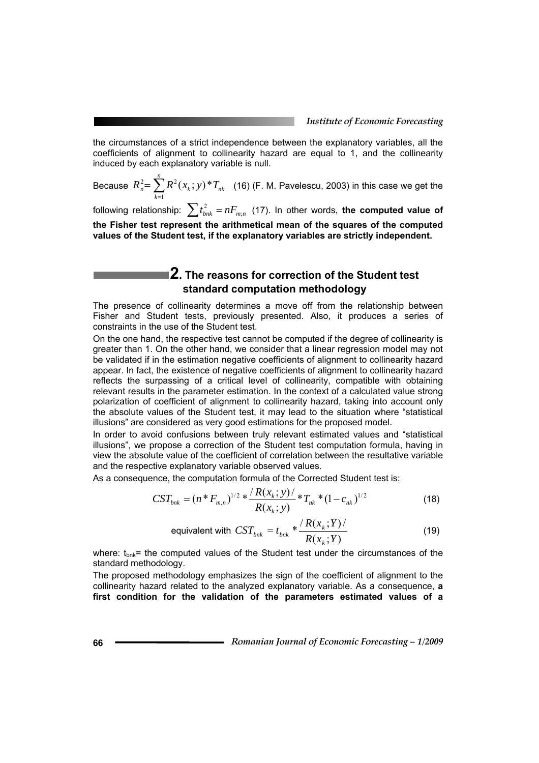the circumstances of a strict independence between the explanatory variables, all the coefficients of alignment to collinearity hazard are equal to 1, and the collinearity induced by each explanatory variable is null.

Because  $R_n^2 = \sum_{k=1}^n$ *k*  $R_n^2 = \sum R^2(x_k; y) * T_{nk}$ 1  $\sum_{n=1}^{2} \sum_{n=1} R^2(x_k; y)^* T_{nk}$  (16) (F. M. Pavelescu, 2003) in this case we get the

following relationship:  $\sum t_{b n k}^2 = n F_{m; n}$  (17). In other words, **the computed value of the Fisher test represent the arithmetical mean of the squares of the computed values of the Student test, if the explanatory variables are strictly independent.** 

# **2. The reasons for correction of the Student test standard computation methodology**

The presence of collinearity determines a move off from the relationship between Fisher and Student tests, previously presented. Also, it produces a series of constraints in the use of the Student test.

On the one hand, the respective test cannot be computed if the degree of collinearity is greater than 1. On the other hand, we consider that a linear regression model may not be validated if in the estimation negative coefficients of alignment to collinearity hazard appear. In fact, the existence of negative coefficients of alignment to collinearity hazard reflects the surpassing of a critical level of collinearity, compatible with obtaining relevant results in the parameter estimation. In the context of a calculated value strong polarization of coefficient of alignment to collinearity hazard, taking into account only the absolute values of the Student test, it may lead to the situation where "statistical illusions" are considered as very good estimations for the proposed model.

In order to avoid confusions between truly relevant estimated values and "statistical illusions", we propose a correction of the Student test computation formula, having in view the absolute value of the coefficient of correlation between the resultative variable and the respective explanatory variable observed values.

As a consequence, the computation formula of the Corrected Student test is:

$$
CST_{bnk} = (n * F_{m,n})^{1/2} * \frac{\langle R(x_k; y) \rangle}{R(x_k; y)} * T_{nk} * (1 - c_{nk})^{1/2}
$$
(18)

equivalent with 
$$
CST_{bnk} = t_{bnk} * \frac{\langle R(x_k;Y) \rangle}{R(x_k;Y)}
$$
(19)

where:  $t_{\text{bnk}}$ = the computed values of the Student test under the circumstances of the standard methodology.

The proposed methodology emphasizes the sign of the coefficient of alignment to the collinearity hazard related to the analyzed explanatory variable. As a consequence, **a first condition for the validation of the parameters estimated values of a**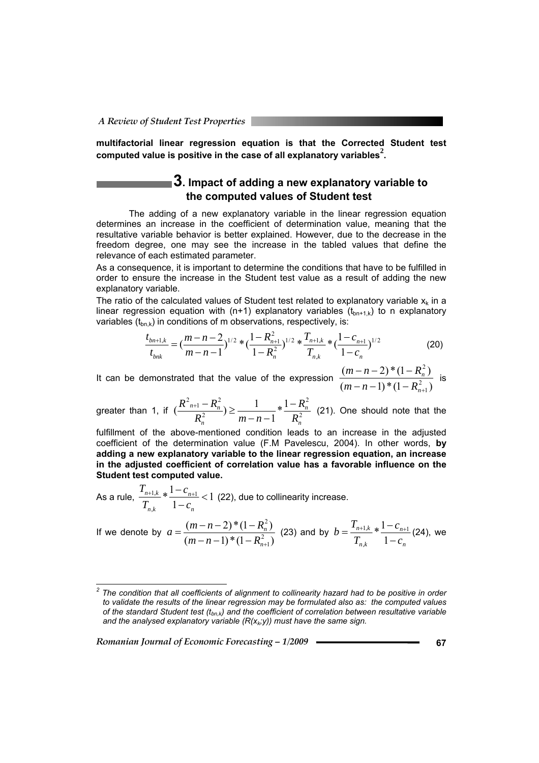**multifactorial linear regression equation is that the Corrected Student test computed value is positive in the case of all explanatory variables<sup>2</sup> .**

# **3. Impact of adding a new explanatory variable to the computed values of Student test**

The adding of a new explanatory variable in the linear regression equation determines an increase in the coefficient of determination value, meaning that the resultative variable behavior is better explained. However, due to the decrease in the freedom degree, one may see the increase in the tabled values that define the relevance of each estimated parameter.

As a consequence, it is important to determine the conditions that have to be fulfilled in order to ensure the increase in the Student test value as a result of adding the new explanatory variable.

The ratio of the calculated values of Student test related to explanatory variable  $x_k$  in a linear regression equation with (n+1) explanatory variables  $(t_{bn+1,k})$  to n explanatory variables  $(t_{bn,k})$  in conditions of m observations, respectively, is:

$$
\frac{t_{bn+1,k}}{t_{bnk}} = \left(\frac{m-n-2}{m-n-1}\right)^{1/2} \cdot \left(\frac{1-R_{n+1}^2}{1-R_n^2}\right)^{1/2} \cdot \left(\frac{T_{n+1,k}}{T_{n,k}}\right) \cdot \left(\frac{1-c_{n+1}}{1-c_n}\right)^{1/2}
$$
(20)

It can be demonstrated that the value of the expression  $\frac{(1+(-1))^2}{(m-n-1)^2(1-R_{n+1}^2)}$  $(m-n-2) * (1 - R_n^2)$ 2 1 2  $(n-1)*(1-R_{n+1}^2)$  $-n-2$ <sup>\*</sup> $(1$ *n n*  $(m-n-1)*(1-R)$  $\frac{m-n-2)*(1-R_n^2)}{2}$  is

greater than 1, if  $\left(\frac{1+2m}{p^2}\right) \geq \frac{1}{m^2-1} * \frac{1}{p^2}$ 2 2  $\frac{2^{n+1}-R_n^2}{2}$   $\geq$   $\frac{1}{2}$   $*$   $\frac{1}{2}$ 1  $\left( \frac{R_{n+1}^2 - R_n^2}{R_n^2} \right) \geq \frac{1}{\sqrt{2\pi}}$ *n n n*  $n+1 - K_n$ *R R*  $R_n^2$   $m-n$  $\frac{R_{n+1}^2 - R_n^2}{R_n^2}$ )  $\geq \frac{1}{m-n-1} * \frac{1-R_n^2}{R_n^2}$  (21). One should note that the

fulfillment of the above-mentioned condition leads to an increase in the adjusted coefficient of the determination value (F.M Pavelescu, 2004). In other words, **by adding a new explanatory variable to the linear regression equation, an increase in the adjusted coefficient of correlation value has a favorable influence on the Student test computed value.** 

As a rule,  $\frac{n+1,k}{n} * \frac{1-c_{n+1}}{1} < 1$ 1  $*\frac{1-c_{n+1}}{1}$  $\sum_{n,k}^{+1,k} * \frac{1-c_{n+1}}{1-c_n}$ *n n n k n k c c T T* (22), due to collinearity increase.

If we denote by  $a = \frac{(n+1)(n+1)}{(m-n-1)!(1 - R_{n+1}^2)}$  $(m-n-2)*(1 - R_n^2)$ 2 1 2  $(n-1)*(1-R_{n+1}^2)$  $=\frac{(m-n-2)*(1$ *n n*  $(m-n-1)*(1-R)$  $a = \frac{(m-n-2) * (1 - R_n^2)}{(m+n-2) * (1 - R_n^2)}$  (23) and by *n n n k n k c c T T*  $b = \frac{T_{n+1,k}}{T_{n,k}} * \frac{1-c_{n+1,k}}{1-c_{n}}$ 1  $*\frac{1-c_{n+1}}{1}$ ,  $\frac{1}{n} * \frac{1 - c_{n+1}}{n}$  (24), we

 *2 The condition that all coefficients of alignment to collinearity hazard had to be positive in order to validate the results of the linear regression may be formulated also as: the computed values*  of the standard Student test (t<sub>bn,k</sub>) and the coefficient of correlation between resultative variable and the analysed explanatory variable  $(R(x_k; y))$  must have the same sign.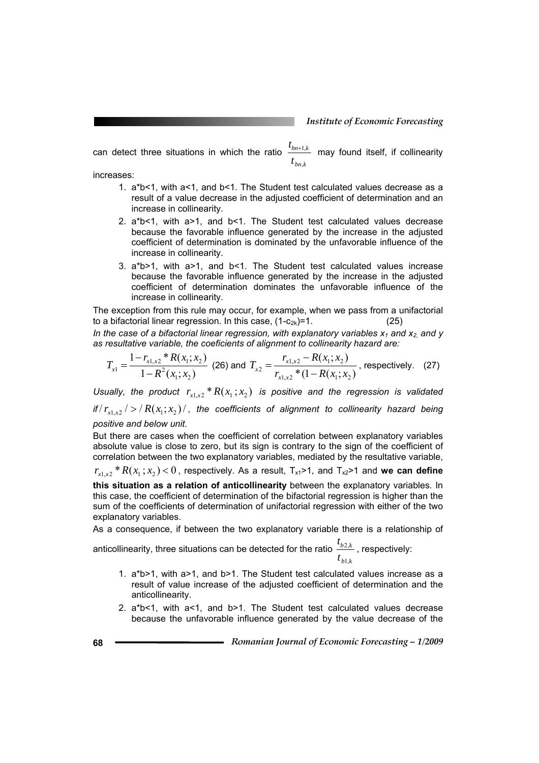can detect three situations in which the ratio *bn k*  $bn+1,k$ *t t* ,  $_{+1,k}$  may found itself, if collinearity

increases:

- 1. a\*b<1, with a<1, and b<1. The Student test calculated values decrease as a result of a value decrease in the adjusted coefficient of determination and an increase in collinearity.
- 2. a\*b<1, with a>1, and b<1. The Student test calculated values decrease because the favorable influence generated by the increase in the adjusted coefficient of determination is dominated by the unfavorable influence of the increase in collinearity.
- 3. a\*b>1, with a>1, and b<1. The Student test calculated values increase because the favorable influence generated by the increase in the adjusted coefficient of determination dominates the unfavorable influence of the increase in collinearity.

The exception from this rule may occur, for example, when we pass from a unifactorial to a bifactorial linear regression. In this case,  $(1-c_{2k})=1$ . (25)

In the case of a bifactorial linear regression, with explanatory variables  $x_1$  and  $x_2$  and y *as resultative variable, the coeficients of alignment to collinearity hazard are:* 

$$
T_{x1} = \frac{1 - r_{x1,x2} * R(x_1; x_2)}{1 - R^2(x_1; x_2)} \text{ (26) and } T_{x2} = \frac{r_{x1,x2} - R(x_1; x_2)}{r_{x1,x2} * (1 - R(x_1; x_2))} \text{, respectively. (27)}
$$

*Usually, the product*  $r_{x1x2} * R(x_1; x_2)$  *is positive and the regression is validated* 

*if*  $/r_{x1.x2}$  / >  $/$   $R(x_1,x_2)$   $/$ , the coefficients of alignment to collinearity hazard being *positive and below unit.*

But there are cases when the coefficient of correlation between explanatory variables absolute value is close to zero, but its sign is contrary to the sign of the coefficient of correlation between the two explanatory variables, mediated by the resultative variable,

 $r_{x1x2} * R(x_1; x_2) < 0$ , respectively. As a result,  $T_{x1} > 1$ , and  $T_{x2} > 1$  and we can define

**this situation as a relation of anticollinearity** between the explanatory variables. In this case, the coefficient of determination of the bifactorial regression is higher than the sum of the coefficients of determination of unifactorial regression with either of the two explanatory variables.

As a consequence, if between the two explanatory variable there is a relationship of

anticollinearity, three situations can be detected for the ratio *b k b k t t* 1,  $\frac{2,k}{m}$  , respectively:

- 1. a\*b>1, with a>1, and b>1. The Student test calculated values increase as a result of value increase of the adjusted coefficient of determination and the anticollinearity.
- 2. a\*b<1, with a<1, and b>1. The Student test calculated values decrease because the unfavorable influence generated by the value decrease of the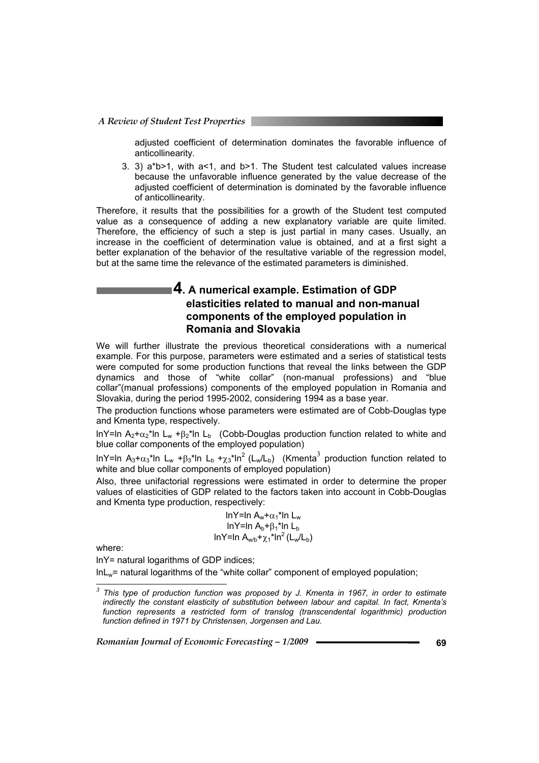adjusted coefficient of determination dominates the favorable influence of anticollinearity.

3. 3)  $a^{\dagger}b > 1$ , with  $a < 1$ , and  $b > 1$ . The Student test calculated values increase because the unfavorable influence generated by the value decrease of the adjusted coefficient of determination is dominated by the favorable influence of anticollinearity.

Therefore, it results that the possibilities for a growth of the Student test computed value as a consequence of adding a new explanatory variable are quite limited. Therefore, the efficiency of such a step is just partial in many cases. Usually, an increase in the coefficient of determination value is obtained, and at a first sight a better explanation of the behavior of the resultative variable of the regression model, but at the same time the relevance of the estimated parameters is diminished.

### **4. A numerical example. Estimation of GDP elasticities related to manual and non-manual components of the employed population in Romania and Slovakia**

We will further illustrate the previous theoretical considerations with a numerical example. For this purpose, parameters were estimated and a series of statistical tests were computed for some production functions that reveal the links between the GDP dynamics and those of "white collar" (non-manual professions) and "blue collar"(manual professions) components of the employed population in Romania and Slovakia, during the period 1995-2002, considering 1994 as a base year.

The production functions whose parameters were estimated are of Cobb-Douglas type and Kmenta type, respectively.

lnY=ln A<sub>2</sub>+ $\alpha_2$ <sup>\*</sup>ln L<sub>w</sub> + $\beta_2$ <sup>\*</sup>ln L<sub>b</sub> (Cobb-Douglas production function related to white and blue collar components of the employed population)

InY=In A<sub>3</sub>+ $\alpha_3$ \*In L<sub>w</sub> + $\beta_3$ \*In L<sub>b</sub> + $\chi_3$ \*In<sup>2</sup> (L<sub>w</sub>/L<sub>b</sub>) (Kmenta<sup>3</sup> production function related to white and blue collar components of employed population)

Also, three unifactorial regressions were estimated in order to determine the proper values of elasticities of GDP related to the factors taken into account in Cobb-Douglas and Kmenta type production, respectively:

> lnY=ln  $A_w + \alpha_1$ \*ln L<sub>w</sub> lnY=ln  $A_h + B_1$ \*ln L<sub>b</sub> lnY=ln A<sub>w/b</sub>+<sub>χ1</sub>\*ln<sup>2</sup> (L<sub>w</sub>/L<sub>b</sub>)

where:

lnY= natural logarithms of GDP indices;

 $ln L<sub>w</sub>$  = natural logarithms of the "white collar" component of employed population;

 *3 This type of production function was proposed by J. Kmenta in 1967, in order to estimate indirectly the constant elasticity of substitution between labour and capital. In fact, Kmenta's function represents a restricted form of translog (transcendental logarithmic) production function defined in 1971 by Christensen, Jorgensen and Lau.*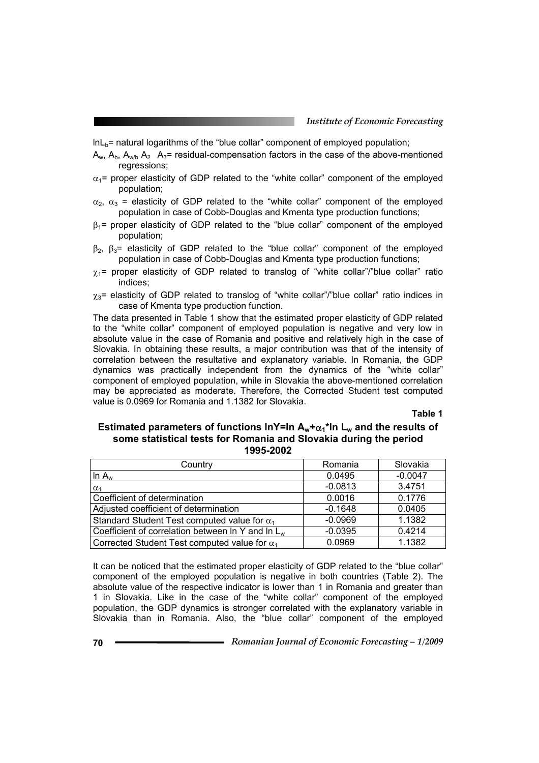$ln L<sub>b</sub>$  = natural logarithms of the "blue collar" component of employed population;

- $A_w$ ,  $A_b$ ,  $A_{w/b}$   $A_2$   $A_3$ = residual-compensation factors in the case of the above-mentioned regressions;
- $\alpha_1$ = proper elasticity of GDP related to the "white collar" component of the employed population;
- $\alpha_2$ ,  $\alpha_3$  = elasticity of GDP related to the "white collar" component of the employed population in case of Cobb-Douglas and Kmenta type production functions;
- $\beta_1$ = proper elasticity of GDP related to the "blue collar" component of the employed population;
- $β_2$ ,  $β_3$ = elasticity of GDP related to the "blue collar" component of the employed population in case of Cobb-Douglas and Kmenta type production functions;
- $\gamma_1$ = proper elasticity of GDP related to translog of "white collar"/"blue collar" ratio indices;
- $\chi_3$ = elasticity of GDP related to translog of "white collar"/"blue collar" ratio indices in case of Kmenta type production function.

The data presented in Table 1 show that the estimated proper elasticity of GDP related to the "white collar" component of employed population is negative and very low in absolute value in the case of Romania and positive and relatively high in the case of Slovakia. In obtaining these results, a major contribution was that of the intensity of correlation between the resultative and explanatory variable. In Romania, the GDP dynamics was practically independent from the dynamics of the "white collar" component of employed population, while in Slovakia the above-mentioned correlation may be appreciated as moderate. Therefore, the Corrected Student test computed value is 0.0969 for Romania and 1.1382 for Slovakia.

**Table 1** 

#### **Estimated parameters of functions lnY=ln**  $A_w + \alpha_1 * \ln L_w$  **and the results of some statistical tests for Romania and Slovakia during the period 1995-2002**

| Country                                              | Romania   | Slovakia  |
|------------------------------------------------------|-----------|-----------|
| In $A_w$                                             | 0.0495    | $-0.0047$ |
| $\alpha_1$                                           | $-0.0813$ | 3.4751    |
| Coefficient of determination                         | 0.0016    | 0.1776    |
| Adjusted coefficient of determination                | $-0.1648$ | 0.0405    |
| Standard Student Test computed value for $\alpha_1$  | $-0.0969$ | 1.1382    |
| Coefficient of correlation between In Y and In $L_w$ | $-0.0395$ | 0.4214    |
| Corrected Student Test computed value for $\alpha_1$ | 0.0969    | 1.1382    |

It can be noticed that the estimated proper elasticity of GDP related to the "blue collar" component of the employed population is negative in both countries (Table 2). The absolute value of the respective indicator is lower than 1 in Romania and greater than 1 in Slovakia. Like in the case of the "white collar" component of the employed population, the GDP dynamics is stronger correlated with the explanatory variable in Slovakia than in Romania. Also, the "blue collar" component of the employed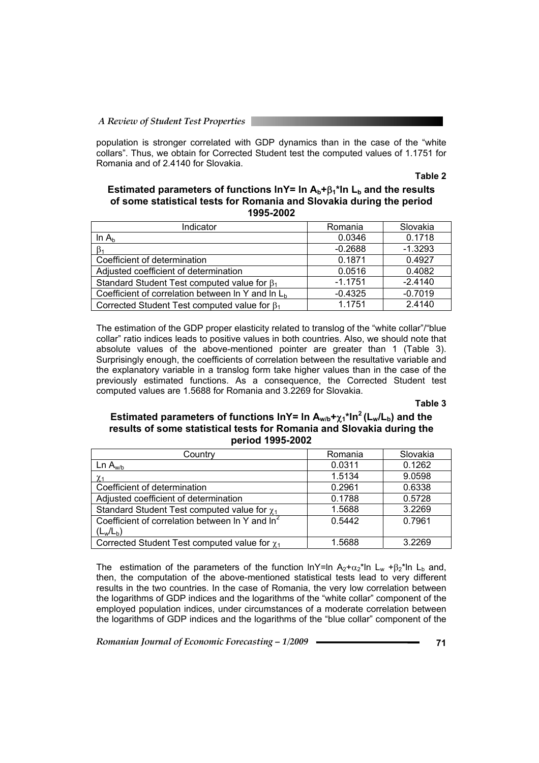population is stronger correlated with GDP dynamics than in the case of the "white collars". Thus, we obtain for Corrected Student test the computed values of 1.1751 for Romania and of 2.4140 for Slovakia.

#### **Table 2**

#### Estimated parameters of functions InY= In A<sub>b</sub>+β<sub>1</sub><sup>\*</sup>In L<sub>b</sub> and the results **of some statistical tests for Romania and Slovakia during the period 1995-2002**

| Indicator                                           | Romania   | Slovakia  |
|-----------------------------------------------------|-----------|-----------|
| In $A_h$                                            | 0.0346    | 0.1718    |
|                                                     | $-0.2688$ | $-1.3293$ |
| Coefficient of determination                        | 0.1871    | 0.4927    |
| Adjusted coefficient of determination               | 0.0516    | 0.4082    |
| Standard Student Test computed value for $\beta_1$  | $-1.1751$ | $-2.4140$ |
| Coefficient of correlation between In Y and In $Lb$ | $-0.4325$ | $-0.7019$ |
| Corrected Student Test computed value for $\beta_1$ | 1.1751    | 2.4140    |

The estimation of the GDP proper elasticity related to translog of the "white collar"/"blue collar" ratio indices leads to positive values in both countries. Also, we should note that absolute values of the above-mentioned pointer are greater than 1 (Table 3). Surprisingly enough, the coefficients of correlation between the resultative variable and the explanatory variable in a translog form take higher values than in the case of the previously estimated functions. As a consequence, the Corrected Student test computed values are 1.5688 for Romania and 3.2269 for Slovakia.

#### **Table 3**

#### **Estimated parameters of functions lnY= In A<sub>w/b</sub>+<sub>χ1</sub><sup>\*</sup>ln<sup>2</sup> (L<sub>w</sub>/L<sub>b</sub>) and the results of some statistical tests for Romania and Slovakia during the period 1995-2002**

| Country                                                     | Romania | Slovakia |
|-------------------------------------------------------------|---------|----------|
| Ln A <sub>w/b</sub>                                         | 0.0311  | 0.1262   |
| $\chi_1$                                                    | 1.5134  | 9.0598   |
| Coefficient of determination                                | 0.2961  | 0.6338   |
| Adjusted coefficient of determination                       | 0.1788  | 0.5728   |
| Standard Student Test computed value for $\chi_1$           | 1.5688  | 3.2269   |
| Coefficient of correlation between In Y and In <sup>2</sup> | 0.5442  | 0.7961   |
| $(L_w/L_b)$                                                 |         |          |
| Corrected Student Test computed value for $\chi_1$          | 1.5688  | 3.2269   |

The estimation of the parameters of the function lnY=ln  $A_2+a_2+a_3$ \*ln L<sub>w</sub> + $\beta_2$ \*ln L<sub>b</sub> and, then, the computation of the above-mentioned statistical tests lead to very different results in the two countries. In the case of Romania, the very low correlation between the logarithms of GDP indices and the logarithms of the "white collar" component of the employed population indices, under circumstances of a moderate correlation between the logarithms of GDP indices and the logarithms of the "blue collar" component of the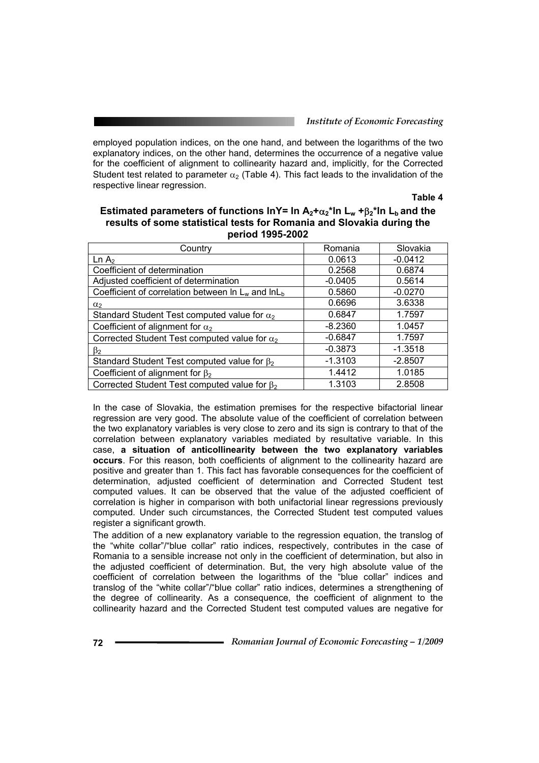#### *Institute of Economic Forecasting*

employed population indices, on the one hand, and between the logarithms of the two explanatory indices, on the other hand, determines the occurrence of a negative value for the coefficient of alignment to collinearity hazard and, implicitly, for the Corrected Student test related to parameter  $\alpha_2$  (Table 4). This fact leads to the invalidation of the respective linear regression.

**Table 4** 

 $\overline{\phantom{0}}$ 

| Estimated parameters of functions InY= In $A_2 + \alpha_2$ <sup>*</sup> In L <sub>w</sub> + $\beta_2$ <sup>*</sup> In L <sub>b</sub> and the<br>results of some statistical tests for Romania and Slovakia during the<br>period 1995-2002 |           |           |
|-------------------------------------------------------------------------------------------------------------------------------------------------------------------------------------------------------------------------------------------|-----------|-----------|
| Country                                                                                                                                                                                                                                   | Romania   | Slovakia  |
|                                                                                                                                                                                                                                           | - - - - - | - - - - - |

| <b>COUNDY</b>                                              | Romania   | Sluvakia  |
|------------------------------------------------------------|-----------|-----------|
| Ln A <sub>2</sub>                                          | 0.0613    | $-0.0412$ |
| Coefficient of determination                               | 0.2568    | 0.6874    |
| Adjusted coefficient of determination                      | $-0.0405$ | 0.5614    |
| Coefficient of correlation between $\ln L_w$ and $\ln L_h$ | 0.5860    | $-0.0270$ |
| $\alpha$ <sub>2</sub>                                      | 0.6696    | 3.6338    |
| Standard Student Test computed value for $\alpha_2$        | 0.6847    | 1.7597    |
| Coefficient of alignment for $\alpha_2$                    | $-8.2360$ | 1.0457    |
| Corrected Student Test computed value for $\alpha_2$       | $-0.6847$ | 1.7597    |
| $\beta_2$                                                  | $-0.3873$ | $-1.3518$ |
| Standard Student Test computed value for $\beta_2$         | $-1.3103$ | $-2.8507$ |
| Coefficient of alignment for $\beta_2$                     | 1.4412    | 1.0185    |
| Corrected Student Test computed value for $\beta_2$        | 1.3103    | 2.8508    |

In the case of Slovakia, the estimation premises for the respective bifactorial linear regression are very good. The absolute value of the coefficient of correlation between the two explanatory variables is very close to zero and its sign is contrary to that of the correlation between explanatory variables mediated by resultative variable. In this case, **a situation of anticollinearity between the two explanatory variables occurs**. For this reason, both coefficients of alignment to the collinearity hazard are positive and greater than 1. This fact has favorable consequences for the coefficient of determination, adjusted coefficient of determination and Corrected Student test computed values. It can be observed that the value of the adjusted coefficient of correlation is higher in comparison with both unifactorial linear regressions previously computed. Under such circumstances, the Corrected Student test computed values register a significant growth.

The addition of a new explanatory variable to the regression equation, the translog of the "white collar"/"blue collar" ratio indices, respectively, contributes in the case of Romania to a sensible increase not only in the coefficient of determination, but also in the adjusted coefficient of determination. But, the very high absolute value of the coefficient of correlation between the logarithms of the "blue collar" indices and translog of the "white collar"/"blue collar" ratio indices, determines a strengthening of the degree of collinearity. As a consequence, the coefficient of alignment to the collinearity hazard and the Corrected Student test computed values are negative for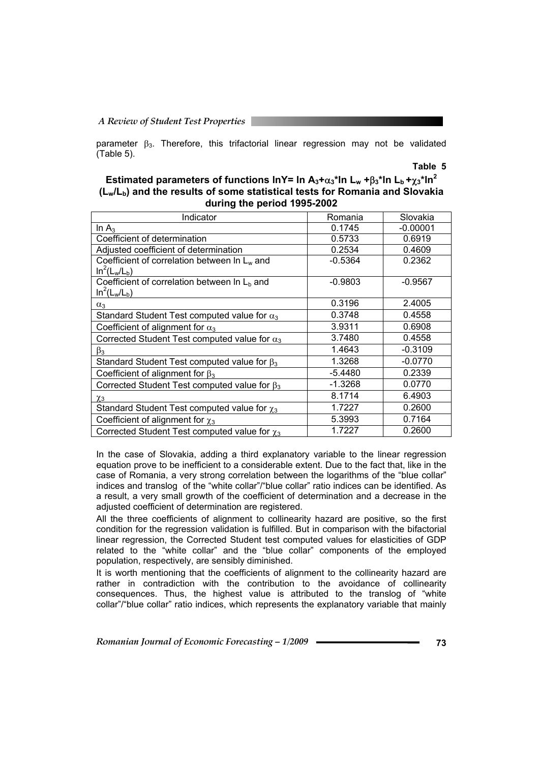#### *A Review of Student Test Properties*

parameter  $\beta_3$ . Therefore, this trifactorial linear regression may not be validated (Table 5).

#### **Table 5**

#### **Estimated parameters of functions lnY= ln**  $A_3 + \alpha_3$ **\*ln L<sub>w</sub> +** $\beta_3$ **\*ln L<sub>b</sub> +** $\gamma_3$ **\*ln<sup>2</sup> (Lw/Lb) and the results of some statistical tests for Romania and Slovakia during the period 1995-2002**

| Indicator                                                        | Romania   | Slovakia   |
|------------------------------------------------------------------|-----------|------------|
| In $A_3$                                                         | 0.1745    | $-0.00001$ |
| Coefficient of determination                                     | 0.5733    | 0.6919     |
| Adjusted coefficient of determination                            | 0.2534    | 0.4609     |
| Coefficient of correlation between $\ln L_w$ and<br>$In2(Lw/Lb)$ | $-0.5364$ | 0.2362     |
| Coefficient of correlation between In $Lb$ and                   | $-0.9803$ | $-0.9567$  |
| $In^2(L_w/L_b)$                                                  |           |            |
| $\alpha_3$                                                       | 0.3196    | 2.4005     |
| Standard Student Test computed value for $\alpha_3$              | 0.3748    | 0.4558     |
| Coefficient of alignment for $\alpha_3$                          | 3.9311    | 0.6908     |
| Corrected Student Test computed value for $\alpha_3$             | 3.7480    | 0.4558     |
| $\beta_3$                                                        | 1.4643    | $-0.3109$  |
| Standard Student Test computed value for $\beta_3$               | 1.3268    | $-0.0770$  |
| Coefficient of alignment for $\beta_3$                           | $-5.4480$ | 0.2339     |
| Corrected Student Test computed value for $\beta_3$              | $-1.3268$ | 0.0770     |
| χз                                                               | 8.1714    | 6.4903     |
| Standard Student Test computed value for $\chi_3$                | 1.7227    | 0.2600     |
| Coefficient of alignment for $\chi_3$                            | 5.3993    | 0.7164     |
| Corrected Student Test computed value for $\chi_3$               | 1.7227    | 0.2600     |

In the case of Slovakia, adding a third explanatory variable to the linear regression equation prove to be inefficient to a considerable extent. Due to the fact that, like in the case of Romania, a very strong correlation between the logarithms of the "blue collar" indices and translog of the "white collar"/"blue collar" ratio indices can be identified. As a result, a very small growth of the coefficient of determination and a decrease in the adjusted coefficient of determination are registered.

All the three coefficients of alignment to collinearity hazard are positive, so the first condition for the regression validation is fulfilled. But in comparison with the bifactorial linear regression, the Corrected Student test computed values for elasticities of GDP related to the "white collar" and the "blue collar" components of the employed population, respectively, are sensibly diminished.

It is worth mentioning that the coefficients of alignment to the collinearity hazard are rather in contradiction with the contribution to the avoidance of collinearity consequences. Thus, the highest value is attributed to the translog of "white collar"/"blue collar" ratio indices, which represents the explanatory variable that mainly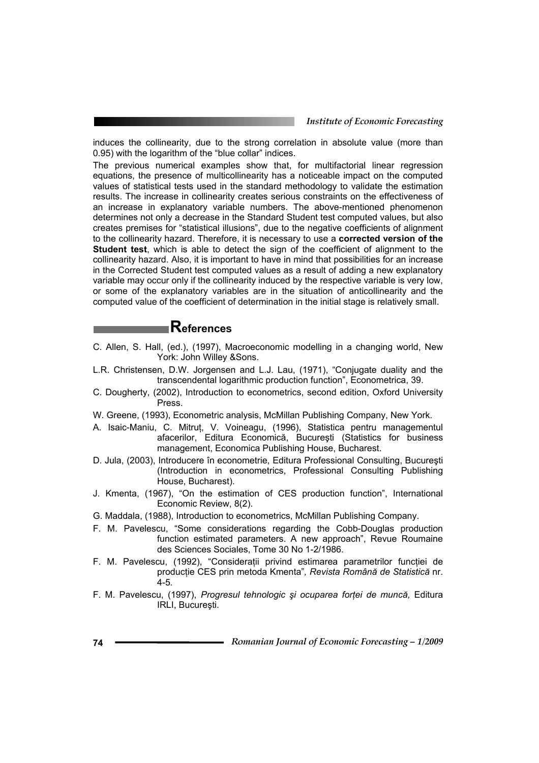induces the collinearity, due to the strong correlation in absolute value (more than 0.95) with the logarithm of the "blue collar" indices.

The previous numerical examples show that, for multifactorial linear regression equations, the presence of multicollinearity has a noticeable impact on the computed values of statistical tests used in the standard methodology to validate the estimation results. The increase in collinearity creates serious constraints on the effectiveness of an increase in explanatory variable numbers. The above-mentioned phenomenon determines not only a decrease in the Standard Student test computed values, but also creates premises for "statistical illusions", due to the negative coefficients of alignment to the collinearity hazard. Therefore, it is necessary to use a **corrected version of the Student test**, which is able to detect the sign of the coefficient of alignment to the collinearity hazard. Also, it is important to have in mind that possibilities for an increase in the Corrected Student test computed values as a result of adding a new explanatory variable may occur only if the collinearity induced by the respective variable is very low, or some of the explanatory variables are in the situation of anticollinearity and the computed value of the coefficient of determination in the initial stage is relatively small.

# **References**

- C. Allen, S. Hall, (ed.), (1997), Macroeconomic modelling in a changing world, New York: John Willey &Sons.
- L.R. Christensen, D.W. Jorgensen and L.J. Lau, (1971), "Conjugate duality and the transcendental logarithmic production function", Econometrica, 39.
- C. Dougherty, (2002), Introduction to econometrics, second edition, Oxford University Press.
- W. Greene, (1993), Econometric analysis, McMillan Publishing Company, New York.
- A. Isaic-Maniu, C. Mitruţ, V. Voineagu, (1996), Statistica pentru managementul afacerilor, Editura Economică, Bucureşti (Statistics for business management, Economica Publishing House, Bucharest.
- D. Jula, (2003), Introducere în econometrie, Editura Professional Consulting, Bucureşti (Introduction in econometrics, Professional Consulting Publishing House, Bucharest).
- J. Kmenta, (1967), "On the estimation of CES production function", International Economic Review, 8(2).
- G. Maddala, (1988), Introduction to econometrics, McMillan Publishing Company.
- F. M. Pavelescu, "Some considerations regarding the Cobb-Douglas production function estimated parameters. A new approach", Revue Roumaine des Sciences Sociales, Tome 30 No 1-2/1986.
- F. M. Pavelescu, (1992), "Consideratii privind estimarea parametrilor functiei de producţie CES prin metoda Kmenta"*, Revista Română de Statistică* nr. 4-5*.*
- F. M. Pavelescu, (1997), *Progresul tehnologic şi ocuparea forţei de muncă,* Editura IRLI, Bucureşti.